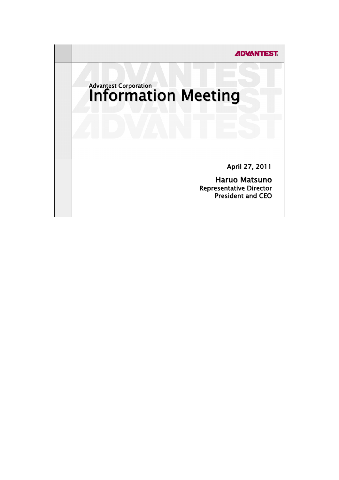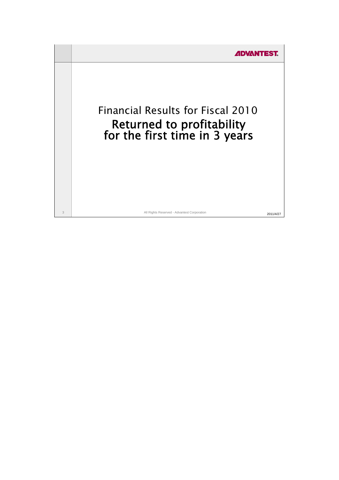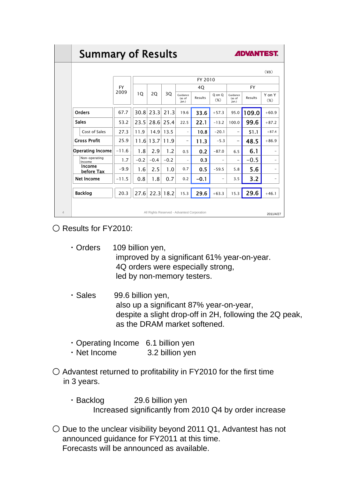## **Summary of Results**

**ADVANTEST** 

|                         |                   |         |        |             |                                |         |                          |                                |         | (YB)             |
|-------------------------|-------------------|---------|--------|-------------|--------------------------------|---------|--------------------------|--------------------------------|---------|------------------|
|                         | <b>FY</b><br>2009 | FY 2010 |        |             |                                |         |                          |                                |         |                  |
|                         |                   | 1 Q     | 2Q     | 3Q          | 4Q                             |         |                          | <b>FY</b>                      |         |                  |
|                         |                   |         |        |             | Guidance<br>(as of<br>$lan.$ ) | Results | Q on Q<br>$(\%)$         | Guidance<br>(as of<br>$lan.$ ) | Results | Y on Y<br>$(\%)$ |
| <b>Orders</b>           | 67.7              | 30.8    | 23.3   | 21.3        | 19.6                           | 33.6    | $+57.3$                  | 95.0                           | 109.0   | $+60.9$          |
| <b>Sales</b>            | 53.2              | 23.5    | 28.6   | 25.4        | 22.5                           | 22.1    | $-13.2$                  | 100.0                          | 99.6    | $+87.2$          |
| Cost of Sales           | 27.3              | 11.9    | 14.9   | 13.5        | $\overline{\phantom{a}}$       | 10.8    | $-20.1$                  | -                              | 51.1    | $+87.4$          |
| <b>Gross Profit</b>     | 25.9              | 11.6    | 13.7   | 11.9        | $\qquad \qquad -$              | 11.3    | $-5.3$                   | $\qquad \qquad -$              | 48.5    | $+86.9$          |
| Operating Income        | $-11.6$           | 1.8     | 2.9    | 1.2         | 0.5                            | 0.2     | $-87.0$                  | 6.5                            | 6.1     |                  |
| Non-operating<br>Income | 1.7               | $-0.2$  | $-0.4$ | $-0.2$      | $\overline{\phantom{a}}$       | 0.3     |                          | -                              | $-0.5$  |                  |
| Income<br>before Tax    | $-9.9$            | 1.6     | 2.5    | 1.0         | 0.7                            | 0.5     | $-59.5$                  | 5.8                            | 5.6     |                  |
| <b>Net Income</b>       | $-11.5$           | 0.8     | 1.8    | 0.7         | 0.2                            | $-0.1$  | $\overline{\phantom{m}}$ | 3.5                            | 3.2     |                  |
| <b>Backlog</b>          | 20.3              | 27.6    |        | $22.3$ 18.2 | 15.3                           | 29.6    | $+63.3$                  | 15.3                           | 29.6    | $+46.1$          |

- Results for FY2010:
	- ・Orders 109 billion yen, improved by a significant 61% year-on-year. 4Q orders were especially strong, led by non-memory testers.
	- ・Sales 99.6 billion yen, also up a significant 87% year-on-year, despite a slight drop-off in 2H, following the 2Q peak, as the DRAM market softened.
	- ・Operating Income 6.1 billion yen
	- ・Net Income 3.2 billion yen
- $\circ$  Advantest returned to profitability in FY2010 for the first time in 3 years.
	- ・Backlog 29.6 billion yen Increased significantly from 2010 Q4 by order increase
- $\circ$  Due to the unclear visibility beyond 2011 Q1, Advantest has not announced guidance for FY2011 at this time. Forecasts will be announced as available.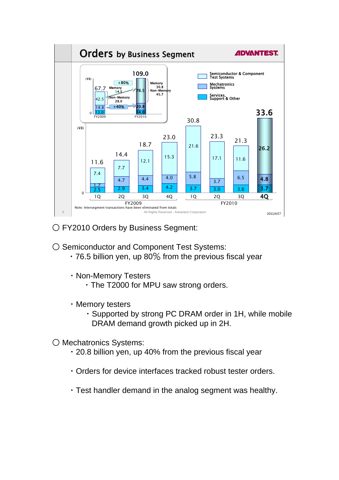

- FY2010 Orders by Business Segment:
- Semiconductor and Component Test Systems:
	- $\cdot$  76.5 billion yen, up 80% from the previous fiscal year
	- ・Non-Memory Testers
		- ・The T2000 for MPU saw strong orders.
	- ・Memory testers
		- ・Supported by strong PC DRAM order in 1H, while mobile DRAM demand growth picked up in 2H.
- Mechatronics Systems:
	- ・20.8 billion yen, up 40% from the previous fiscal year
	- ・Orders for device interfaces tracked robust tester orders.
	- ・Test handler demand in the analog segment was healthy.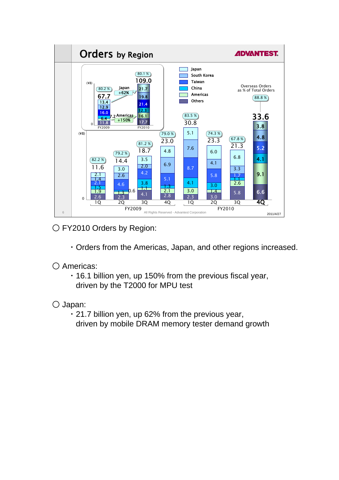

○ FY2010 Orders by Region:

- ・Orders from the Americas, Japan, and other regions increased.
- Americas:
	- ・16.1 billion yen, up 150% from the previous fiscal year, driven by the T2000 for MPU test
- Japan:
	- ・21.7 billion yen, up 62% from the previous year, driven by mobile DRAM memory tester demand growth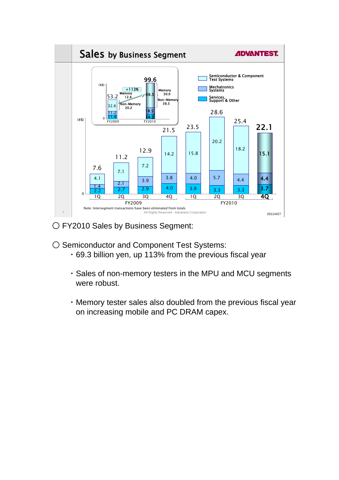

○ FY2010 Sales by Business Segment:

O Semiconductor and Component Test Systems:

- ・69.3 billion yen, up 113% from the previous fiscal year
- ・Sales of non-memory testers in the MPU and MCU segments were robust.
- ・Memory tester sales also doubled from the previous fiscal year on increasing mobile and PC DRAM capex.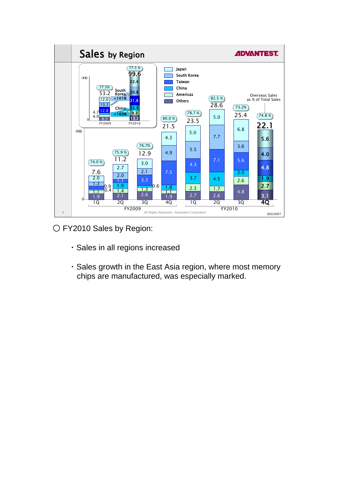

O FY2010 Sales by Region:

- ・Sales in all regions increased
- ・Sales growth in the East Asia region, where most memory chips are manufactured, was especially marked.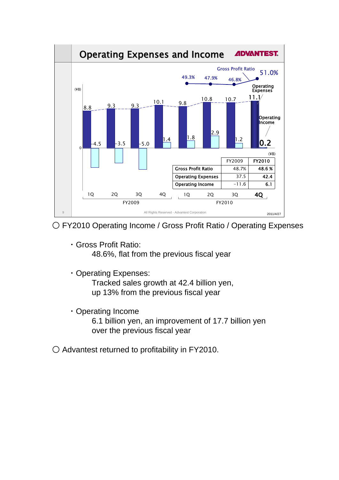

○ FY2010 Operating Income / Gross Profit Ratio / Operating Expenses

・Gross Profit Ratio:

48.6%, flat from the previous fiscal year

・Operating Expenses:

Tracked sales growth at 42.4 billion yen, up 13% from the previous fiscal year

・Operating Income

6.1 billion yen, an improvement of 17.7 billion yen over the previous fiscal year

○ Advantest returned to profitability in FY2010.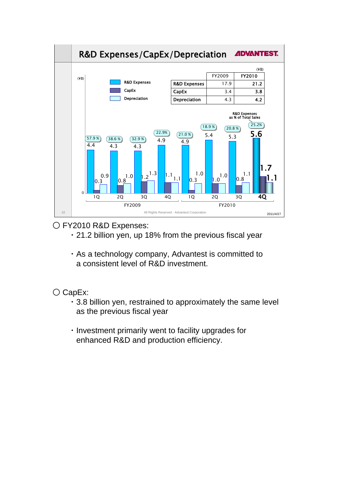

- FY2010 R&D Expenses:
	- ・21.2 billion yen, up 18% from the previous fiscal year
	- ・As a technology company, Advantest is committed to a consistent level of R&D investment.
- CapEx:
	- ・3.8 billion yen, restrained to approximately the same level as the previous fiscal year
	- ・Investment primarily went to facility upgrades for enhanced R&D and production efficiency.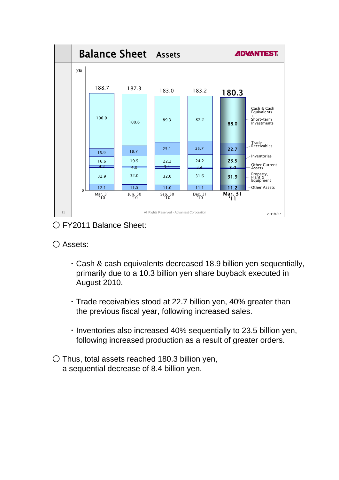

- FY2011 Balance Sheet:
- Assets:
	- ・Cash & cash equivalents decreased 18.9 billion yen sequentially, primarily due to a 10.3 billion yen share buyback executed in August 2010.
	- ・Trade receivables stood at 22.7 billion yen, 40% greater than the previous fiscal year, following increased sales.
	- ・Inventories also increased 40% sequentially to 23.5 billion yen, following increased production as a result of greater orders.
- $\circ$  Thus, total assets reached 180.3 billion yen, a sequential decrease of 8.4 billion yen.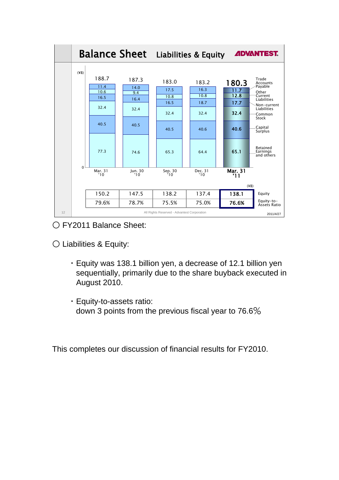

○ FY2011 Balance Sheet:

○ Liabilities & Equity:

- ・Equity was 138.1 billion yen, a decrease of 12.1 billion yen sequentially, primarily due to the share buyback executed in August 2010.
- ・Equity-to-assets ratio: down 3 points from the previous fiscal year to 76.6%

This completes our discussion of financial results for FY2010.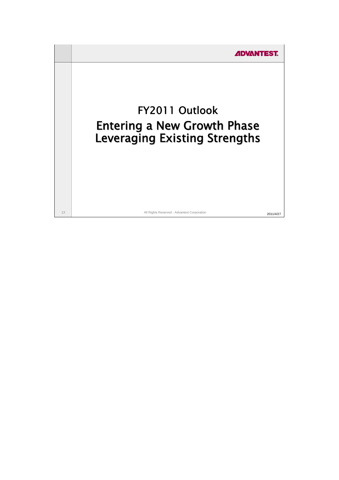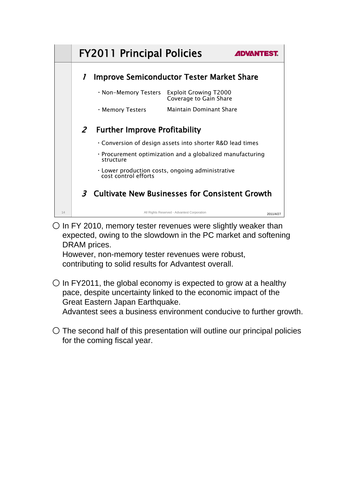

 $\circ$  In FY 2010, memory tester revenues were slightly weaker than expected, owing to the slowdown in the PC market and softening DRAM prices.

However, non-memory tester revenues were robust, contributing to solid results for Advantest overall.

 $\circ$  In FY2011, the global economy is expected to grow at a healthy pace, despite uncertainty linked to the economic impact of the Great Eastern Japan Earthquake.

Advantest sees a business environment conducive to further growth.

 $\circ$  The second half of this presentation will outline our principal policies for the coming fiscal year.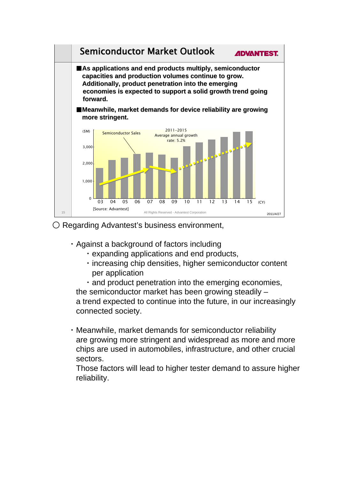

○ Regarding Advantest's business environment,

- ・Against a background of factors including
	- ・expanding applications and end products,
	- ・increasing chip densities, higher semiconductor content per application

・and product penetration into the emerging economies, the semiconductor market has been growing steadily – a trend expected to continue into the future, in our increasingly connected society.

・Meanwhile, market demands for semiconductor reliability are growing more stringent and widespread as more and more chips are used in automobiles, infrastructure, and other crucial sectors.

Those factors will lead to higher tester demand to assure higher reliability.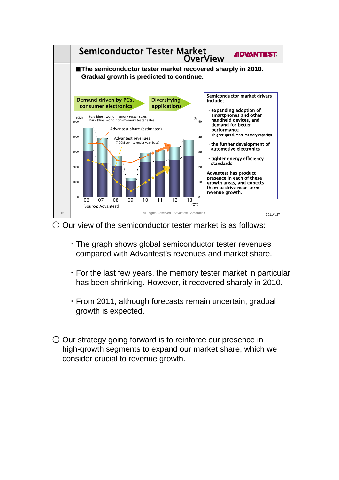

 $\bigcirc$  Our view of the semiconductor tester market is as follows:

- ・The graph shows global semiconductor tester revenues compared with Advantest's revenues and market share.
- ・For the last few years, the memory tester market in particular has been shrinking. However, it recovered sharply in 2010.
- ・From 2011, although forecasts remain uncertain, gradual growth is expected.
- Our strategy going forward is to reinforce our presence in high-growth segments to expand our market share, which we consider crucial to revenue growth.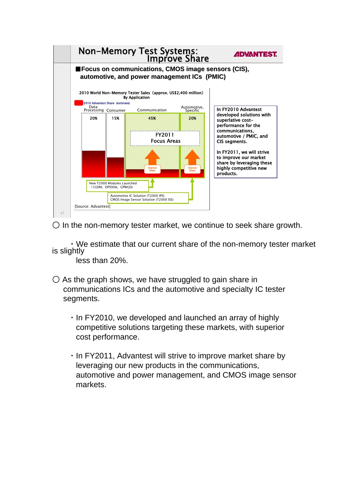

 $\bigcirc$  In the non-memory tester market, we continue to seek share growth.

・We estimate that our current share of the non-memory tester market is slightly

less than 20%.

- $\bigcirc$  As the graph shows, we have struggled to gain share in communications ICs and the automotive and specialty IC tester segments.
	- ・In FY2010, we developed and launched an array of highly competitive solutions targeting these markets, with superior cost performance.
	- ・In FY2011, Advantest will strive to improve market share by leveraging our new products in the communications, automotive and power management, and CMOS image sensor markets.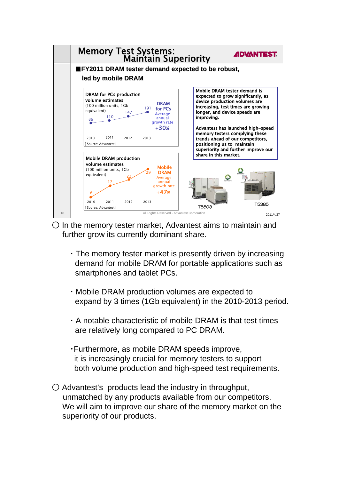

 $\bigcirc$  In the memory tester market, Advantest aims to maintain and further grow its currently dominant share.

- ・The memory tester market is presently driven by increasing demand for mobile DRAM for portable applications such as smartphones and tablet PCs.
- ・Mobile DRAM production volumes are expected to expand by 3 times (1Gb equivalent) in the 2010-2013 period.
- ・A notable characteristic of mobile DRAM is that test times are relatively long compared to PC DRAM.
- ・Furthermore, as mobile DRAM speeds improve, it is increasingly crucial for memory testers to support both volume production and high-speed test requirements.
- $\bigcirc$  Advantest's products lead the industry in throughput, unmatched by any products available from our competitors. We will aim to improve our share of the memory market on the superiority of our products.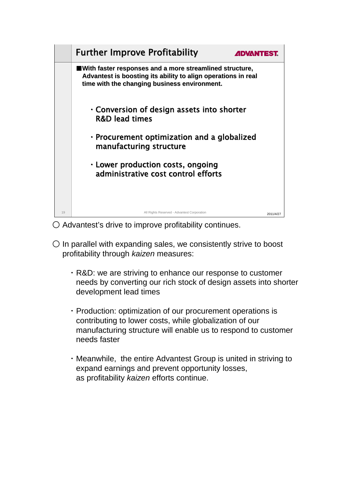

 $\bigcirc$  Advantest's drive to improve profitability continues.

- $\bigcirc$  In parallel with expanding sales, we consistently strive to boost profitability through *kaizen* measures:
	- ・R&D: we are striving to enhance our response to customer needs by converting our rich stock of design assets into shorter development lead times
	- ・Production: optimization of our procurement operations is contributing to lower costs, while globalization of our manufacturing structure will enable us to respond to customer needs faster
	- ・Meanwhile, the entire Advantest Group is united in striving to expand earnings and prevent opportunity losses, as profitability *kaizen* efforts continue.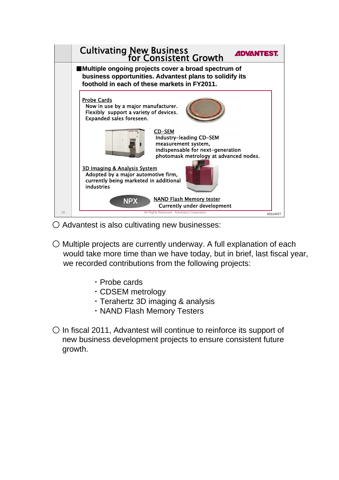

- $\bigcirc$  Advantest is also cultivating new businesses:
- $\bigcirc$  Multiple projects are currently underway. A full explanation of each would take more time than we have today, but in brief, last fiscal year, we recorded contributions from the following projects:
	- ・Probe cards
	- ・CDSEM metrology
	- ・Terahertz 3D imaging & analysis
	- ・NAND Flash Memory Testers
- $\circ$  In fiscal 2011, Advantest will continue to reinforce its support of new business development projects to ensure consistent future growth.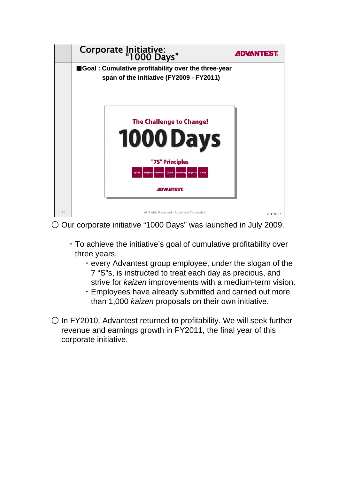

○ Our corporate initiative "1000 Days" was launched in July 2009.

- ・To achieve the initiative's goal of cumulative profitability over three years,
	- ・every Advantest group employee, under the slogan of the 7 "S"s, is instructed to treat each day as precious, and strive for *kaizen* improvements with a medium-term vision.
	- ・Employees have already submitted and carried out more than 1,000 *kaizen* proposals on their own initiative.
- $\circ$  In FY2010, Advantest returned to profitability. We will seek further revenue and earnings growth in FY2011, the final year of this corporate initiative.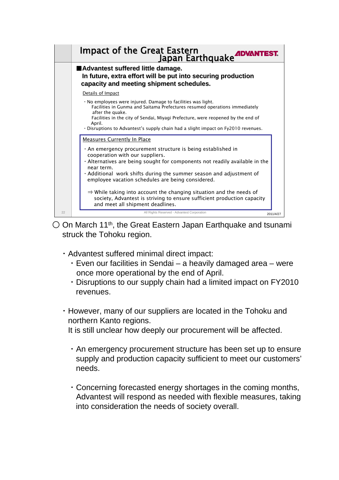

 $\circ$  On March 11<sup>th</sup>, the Great Eastern Japan Earthquake and tsunami struck the Tohoku region.

- ・Advantest suffered minimal direct impact:
	- ・Even our facilities in Sendai a heavily damaged area were once more operational by the end of April.
	- ・Disruptions to our supply chain had a limited impact on FY2010 revenues.
- ・However, many of our suppliers are located in the Tohoku and northern Kanto regions.

It is still unclear how deeply our procurement will be affected.

- ・An emergency procurement structure has been set up to ensure supply and production capacity sufficient to meet our customers' needs.
- ・Concerning forecasted energy shortages in the coming months, Advantest will respond as needed with flexible measures, taking into consideration the needs of society overall.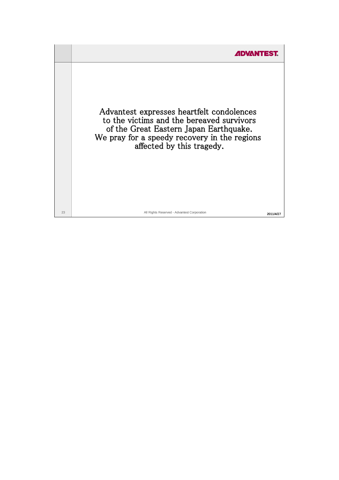